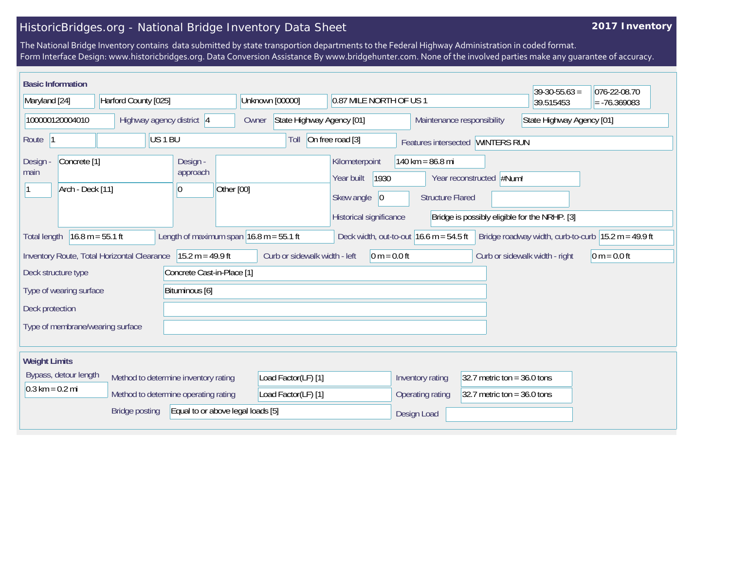## HistoricBridges.org - National Bridge Inventory Data Sheet

## **2017 Inventory**

The National Bridge Inventory contains data submitted by state transportion departments to the Federal Highway Administration in coded format. Form Interface Design: www.historicbridges.org. Data Conversion Assistance By www.bridgehunter.com. None of the involved parties make any guarantee of accuracy.

| <b>Basic Information</b>                                                                                                                                                                      |  |                                            |                                    |                                                          |                                                                           |           | $39-30-55.63 =$                               | 076-22-08.70   |
|-----------------------------------------------------------------------------------------------------------------------------------------------------------------------------------------------|--|--------------------------------------------|------------------------------------|----------------------------------------------------------|---------------------------------------------------------------------------|-----------|-----------------------------------------------|----------------|
| Maryland [24]<br>Harford County [025]                                                                                                                                                         |  | Unknown [00000]<br>0.87 MILE NORTH OF US 1 |                                    |                                                          |                                                                           | 39.515453 | $= -76.369083$                                |                |
| 100000120004010<br>Highway agency district 4                                                                                                                                                  |  |                                            | State Highway Agency [01]<br>Owner |                                                          | Maintenance responsibility                                                |           | State Highway Agency [01]                     |                |
| US <sub>1</sub> BU<br>Route                                                                                                                                                                   |  |                                            | Toll                               | On free road [3]                                         | Features intersected WINTERS RUN                                          |           |                                               |                |
| Concrete <sup>[1]</sup><br>Design<br>main<br>Arch - Deck [11]<br>10                                                                                                                           |  | Design -<br>approach<br>Other [00]         |                                    | Kilometerpoint<br>1930<br>Year built<br>Skew angle<br> 0 | 140 km = $86.8$ mi<br>Year reconstructed #Num!<br><b>Structure Flared</b> |           |                                               |                |
|                                                                                                                                                                                               |  |                                            |                                    | Historical significance                                  |                                                                           |           | Bridge is possibly eligible for the NRHP. [3] |                |
| Length of maximum span $16.8$ m = 55.1 ft<br>$16.8 m = 55.1 ft$<br>Deck width, out-to-out $16.6$ m = 54.5 ft<br>Bridge roadway width, curb-to-curb $ 15.2 m = 49.9 ft$<br><b>Total length</b> |  |                                            |                                    |                                                          |                                                                           |           |                                               |                |
| $15.2 m = 49.9 ft$<br>Inventory Route, Total Horizontal Clearance                                                                                                                             |  |                                            | Curb or sidewalk width - left      | $0 m = 0.0 ft$                                           |                                                                           |           | Curb or sidewalk width - right                | $0 m = 0.0 ft$ |
| Concrete Cast-in-Place [1]<br>Deck structure type                                                                                                                                             |  |                                            |                                    |                                                          |                                                                           |           |                                               |                |
| Type of wearing surface<br>Bituminous [6]                                                                                                                                                     |  |                                            |                                    |                                                          |                                                                           |           |                                               |                |
| Deck protection                                                                                                                                                                               |  |                                            |                                    |                                                          |                                                                           |           |                                               |                |
| Type of membrane/wearing surface                                                                                                                                                              |  |                                            |                                    |                                                          |                                                                           |           |                                               |                |
| <b>Weight Limits</b>                                                                                                                                                                          |  |                                            |                                    |                                                          |                                                                           |           |                                               |                |
| Bypass, detour length<br>Method to determine inventory rating                                                                                                                                 |  | Load Factor(LF) [1]                        |                                    | Inventory rating<br>32.7 metric ton = $36.0$ tons        |                                                                           |           |                                               |                |
| $0.3 \text{ km} = 0.2 \text{ mi}$<br>Method to determine operating rating                                                                                                                     |  |                                            | Load Factor(LF) [1]                |                                                          | 32.7 metric ton = $36.0$ tons<br>Operating rating                         |           |                                               |                |
| Equal to or above legal loads [5]<br><b>Bridge posting</b>                                                                                                                                    |  |                                            |                                    |                                                          | Design Load                                                               |           |                                               |                |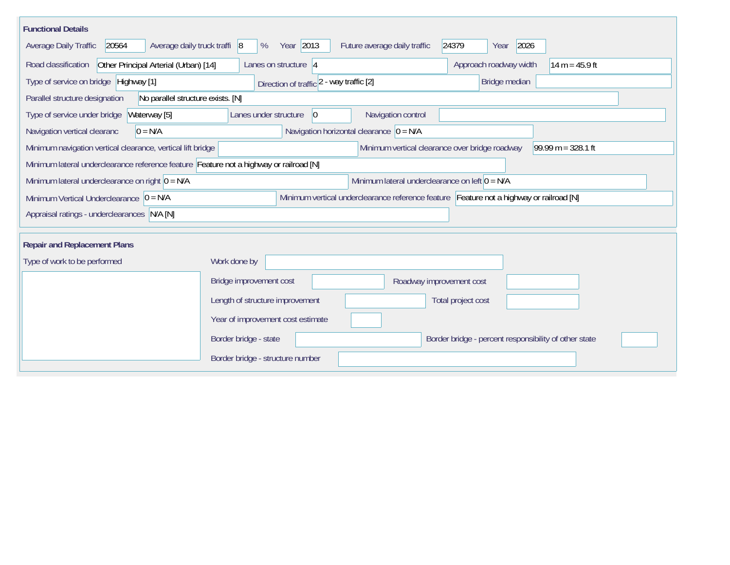| <b>Functional Details</b>                                                                                                             |                                   |                                          |                                                  |                                                       |                      |
|---------------------------------------------------------------------------------------------------------------------------------------|-----------------------------------|------------------------------------------|--------------------------------------------------|-------------------------------------------------------|----------------------|
| 20564<br>Average daily truck traffi 8<br>Average Daily Traffic                                                                        | %                                 | Year 2013                                | Future average daily traffic                     | 24379<br>2026<br>Year                                 |                      |
| Other Principal Arterial (Urban) [14]<br>Road classification                                                                          |                                   | Lanes on structure 4                     |                                                  | Approach roadway width                                | $14 m = 45.9 ft$     |
| Type of service on bridge Highway [1]                                                                                                 |                                   | Direction of traffic 2 - way traffic [2] |                                                  | Bridge median                                         |                      |
| No parallel structure exists. [N]<br>Parallel structure designation                                                                   |                                   |                                          |                                                  |                                                       |                      |
| Type of service under bridge<br>Waterway [5]                                                                                          | Lanes under structure             | 0                                        | Navigation control                               |                                                       |                      |
| $0 = N/A$<br>Navigation vertical clearanc                                                                                             |                                   |                                          | Navigation horizontal clearance $ 0 = N/A $      |                                                       |                      |
| Minimum navigation vertical clearance, vertical lift bridge                                                                           |                                   |                                          |                                                  | Minimum vertical clearance over bridge roadway        | $99.99 m = 328.1 ft$ |
| Minimum lateral underclearance reference feature Feature not a highway or railroad [N]                                                |                                   |                                          |                                                  |                                                       |                      |
| Minimum lateral underclearance on right $ 0 = N/A$                                                                                    |                                   |                                          | Minimum lateral underclearance on left $0 = N/A$ |                                                       |                      |
| Minimum vertical underclearance reference feature Feature not a highway or railroad [N]<br>Minimum Vertical Underclearance $ 0 = N/A$ |                                   |                                          |                                                  |                                                       |                      |
| Appraisal ratings - underclearances N/A [N]                                                                                           |                                   |                                          |                                                  |                                                       |                      |
|                                                                                                                                       |                                   |                                          |                                                  |                                                       |                      |
| <b>Repair and Replacement Plans</b>                                                                                                   |                                   |                                          |                                                  |                                                       |                      |
| Type of work to be performed                                                                                                          | Work done by                      |                                          |                                                  |                                                       |                      |
|                                                                                                                                       | Bridge improvement cost           |                                          |                                                  | Roadway improvement cost                              |                      |
|                                                                                                                                       | Length of structure improvement   |                                          |                                                  | Total project cost                                    |                      |
|                                                                                                                                       | Year of improvement cost estimate |                                          |                                                  |                                                       |                      |
|                                                                                                                                       | Border bridge - state             |                                          |                                                  | Border bridge - percent responsibility of other state |                      |
|                                                                                                                                       | Border bridge - structure number  |                                          |                                                  |                                                       |                      |